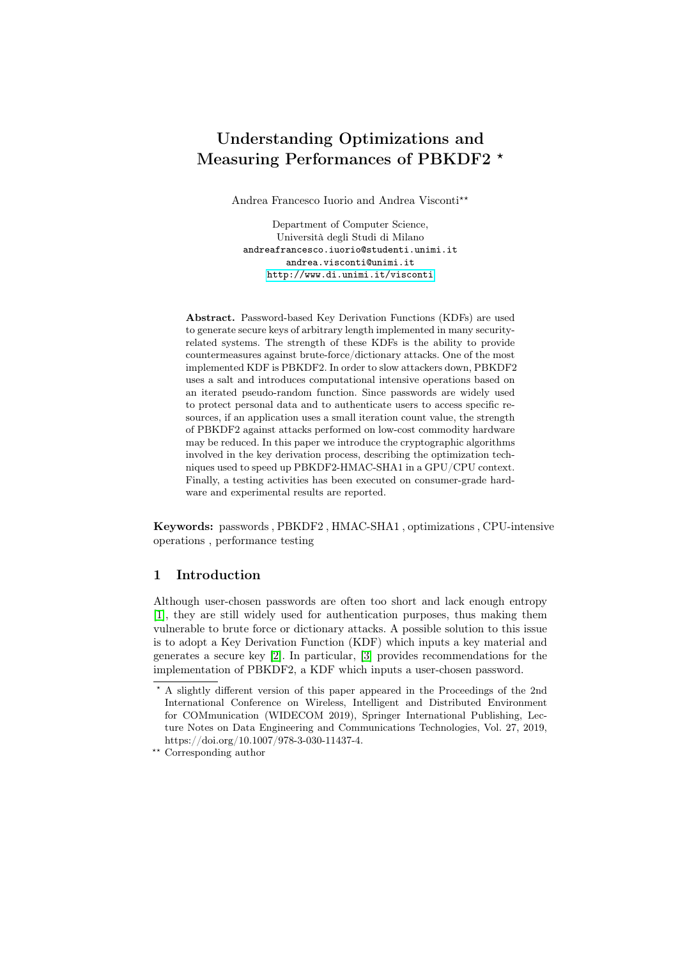# Understanding Optimizations and Measuring Performances of PBKDF2  $*$

Andrea Francesco Iuorio and Andrea Visconti\*\*

Department of Computer Science, Università degli Studi di Milano andreafrancesco.iuorio@studenti.unimi.it andrea.visconti@unimi.it <http://www.di.unimi.it/visconti>

Abstract. Password-based Key Derivation Functions (KDFs) are used to generate secure keys of arbitrary length implemented in many securityrelated systems. The strength of these KDFs is the ability to provide countermeasures against brute-force/dictionary attacks. One of the most implemented KDF is PBKDF2. In order to slow attackers down, PBKDF2 uses a salt and introduces computational intensive operations based on an iterated pseudo-random function. Since passwords are widely used to protect personal data and to authenticate users to access specific resources, if an application uses a small iteration count value, the strength of PBKDF2 against attacks performed on low-cost commodity hardware may be reduced. In this paper we introduce the cryptographic algorithms involved in the key derivation process, describing the optimization techniques used to speed up PBKDF2-HMAC-SHA1 in a GPU/CPU context. Finally, a testing activities has been executed on consumer-grade hardware and experimental results are reported.

Keywords: passwords , PBKDF2 , HMAC-SHA1 , optimizations , CPU-intensive operations , performance testing

# 1 Introduction

Although user-chosen passwords are often too short and lack enough entropy [\[1\]](#page-11-0), they are still widely used for authentication purposes, thus making them vulnerable to brute force or dictionary attacks. A possible solution to this issue is to adopt a Key Derivation Function (KDF) which inputs a key material and generates a secure key [\[2\]](#page-11-1). In particular, [\[3\]](#page-11-2) provides recommendations for the implementation of PBKDF2, a KDF which inputs a user-chosen password.

<sup>?</sup> A slightly different version of this paper appeared in the Proceedings of the 2nd International Conference on Wireless, Intelligent and Distributed Environment for COMmunication (WIDECOM 2019), Springer International Publishing, Lecture Notes on Data Engineering and Communications Technologies, Vol. 27, 2019, https://doi.org/10.1007/978-3-030-11437-4.

 $^{\star\star}$  Corresponding author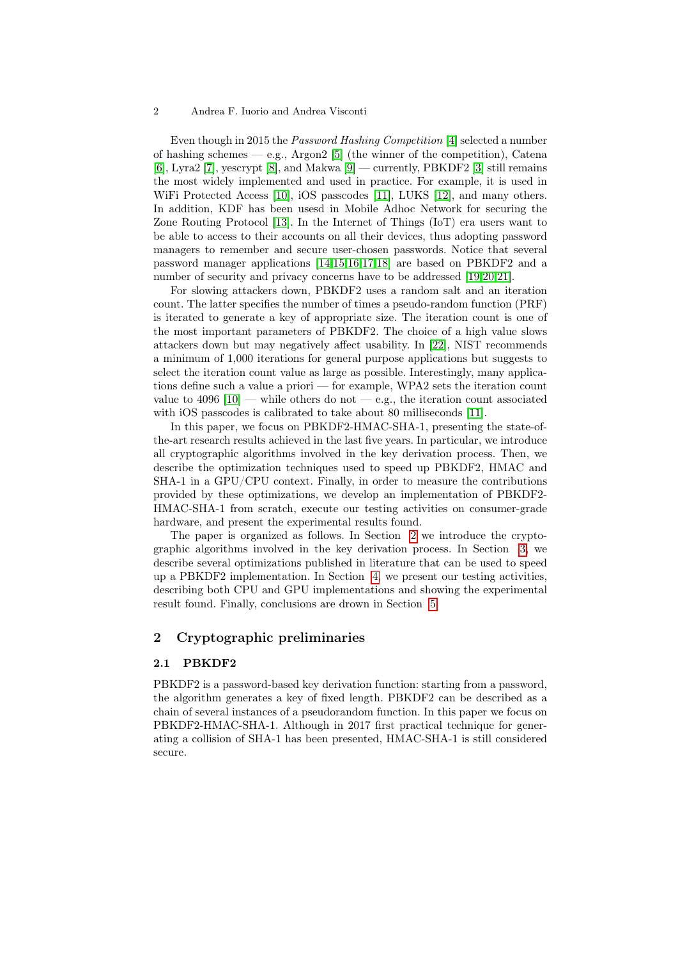Even though in 2015 the Password Hashing Competition [\[4\]](#page-11-3) selected a number of hashing schemes  $-$  e.g., Argon2 [\[5\]](#page-11-4) (the winner of the competition), Catena [\[6\]](#page-11-5), Lyra2 [\[7\]](#page-11-6), yescrypt [\[8\]](#page-11-7), and Makwa [\[9\]](#page-12-0) — currently, PBKDF2 [\[3\]](#page-11-2) still remains the most widely implemented and used in practice. For example, it is used in WiFi Protected Access [\[10\]](#page-12-1), iOS passcodes [\[11\]](#page-12-2), LUKS [\[12\]](#page-12-3), and many others. In addition, KDF has been usesd in Mobile Adhoc Network for securing the Zone Routing Protocol [\[13\]](#page-12-4). In the Internet of Things (IoT) era users want to be able to access to their accounts on all their devices, thus adopting password managers to remember and secure user-chosen passwords. Notice that several password manager applications [\[14,](#page-12-5)[15,](#page-12-6)[16](#page-12-7)[,17,](#page-12-8)[18\]](#page-12-9) are based on PBKDF2 and a number of security and privacy concerns have to be addressed [\[19,](#page-12-10)[20,](#page-12-11)[21\]](#page-12-12).

For slowing attackers down, PBKDF2 uses a random salt and an iteration count. The latter specifies the number of times a pseudo-random function (PRF) is iterated to generate a key of appropriate size. The iteration count is one of the most important parameters of PBKDF2. The choice of a high value slows attackers down but may negatively affect usability. In [\[22\]](#page-12-13), NIST recommends a minimum of 1,000 iterations for general purpose applications but suggests to select the iteration count value as large as possible. Interestingly, many applications define such a value a priori — for example, WPA2 sets the iteration count value to  $4096$  [\[10\]](#page-12-1) — while others do not — e.g., the iteration count associated with iOS passcodes is calibrated to take about 80 milliseconds [\[11\]](#page-12-2).

In this paper, we focus on PBKDF2-HMAC-SHA-1, presenting the state-ofthe-art research results achieved in the last five years. In particular, we introduce all cryptographic algorithms involved in the key derivation process. Then, we describe the optimization techniques used to speed up PBKDF2, HMAC and SHA-1 in a GPU/CPU context. Finally, in order to measure the contributions provided by these optimizations, we develop an implementation of PBKDF2- HMAC-SHA-1 from scratch, execute our testing activities on consumer-grade hardware, and present the experimental results found.

The paper is organized as follows. In Section [2](#page-1-0) we introduce the cryptographic algorithms involved in the key derivation process. In Section [3,](#page-5-0) we describe several optimizations published in literature that can be used to speed up a PBKDF2 implementation. In Section [4,](#page-8-0) we present our testing activities, describing both CPU and GPU implementations and showing the experimental result found. Finally, conclusions are drown in Section [5.](#page-11-8)

# <span id="page-1-0"></span>2 Cryptographic preliminaries

#### 2.1 PBKDF2

PBKDF2 is a password-based key derivation function: starting from a password, the algorithm generates a key of fixed length. PBKDF2 can be described as a chain of several instances of a pseudorandom function. In this paper we focus on PBKDF2-HMAC-SHA-1. Although in 2017 first practical technique for generating a collision of SHA-1 has been presented, HMAC-SHA-1 is still considered secure.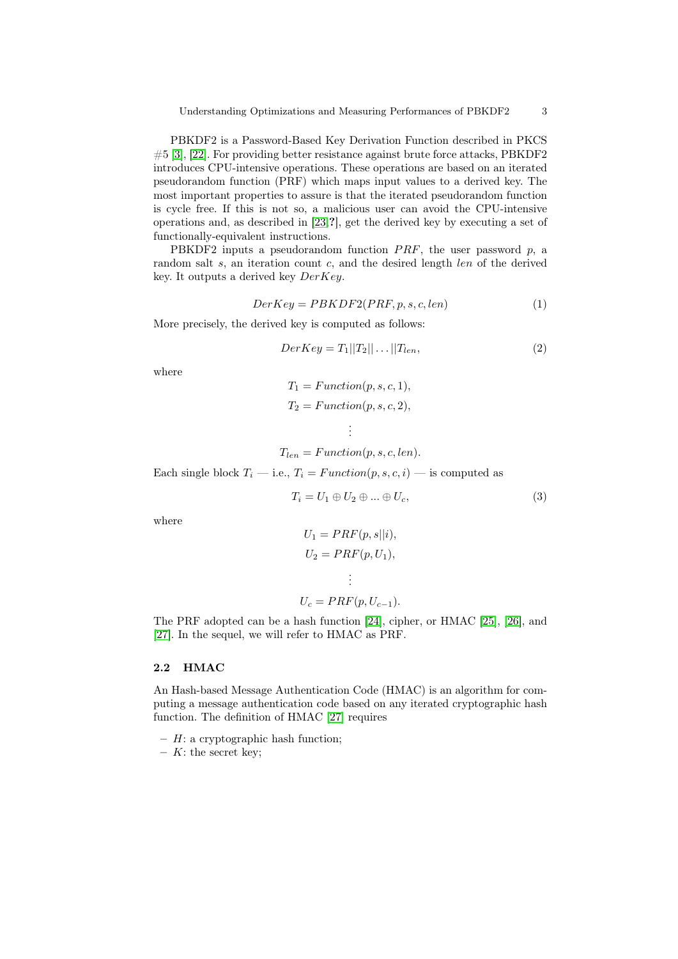PBKDF2 is a Password-Based Key Derivation Function described in PKCS #5 [\[3\]](#page-11-2), [\[22\]](#page-12-13). For providing better resistance against brute force attacks, PBKDF2 introduces CPU-intensive operations. These operations are based on an iterated pseudorandom function (PRF) which maps input values to a derived key. The most important properties to assure is that the iterated pseudorandom function is cycle free. If this is not so, a malicious user can avoid the CPU-intensive operations and, as described in [\[23,](#page-12-14)?], get the derived key by executing a set of functionally-equivalent instructions.

PBKDF2 inputs a pseudorandom function  $PRF$ , the user password p, a random salt s, an iteration count c, and the desired length len of the derived key. It outputs a derived key  $DerKey$ .

$$
DerKey = PBKDF2(PRF, p, s, c, len)
$$
\n<sup>(1)</sup>

More precisely, the derived key is computed as follows:

$$
DerKey = T_1||T_2||\dots||T_{len},\tag{2}
$$

where

$$
T_1 = Function(p, s, c, 1),
$$
  

$$
T_2 = Function(p, s, c, 2),
$$

$$
\vdots
$$
  

$$
T_{len} = Function(p, s, c, len).
$$

Each single block  $T_i$  — i.e.,  $T_i = Function(p, s, c, i)$  — is computed as

$$
T_i = U_1 \oplus U_2 \oplus \dots \oplus U_c,\tag{3}
$$

where

$$
U_1 = PRF(p, s||i),
$$
  
\n
$$
U_2 = PRF(p, U_1),
$$
  
\n
$$
\vdots
$$
  
\n
$$
U_c = PRF(p, U_{c-1}).
$$

The PRF adopted can be a hash function [\[24\]](#page-12-15), cipher, or HMAC [\[25\]](#page-12-16), [\[26\]](#page-12-17), and [\[27\]](#page-12-18). In the sequel, we will refer to HMAC as PRF.

## 2.2 HMAC

An Hash-based Message Authentication Code (HMAC) is an algorithm for computing a message authentication code based on any iterated cryptographic hash function. The definition of HMAC [\[27\]](#page-12-18) requires

 $- H:$  a cryptographic hash function;

–  $K$ : the secret key;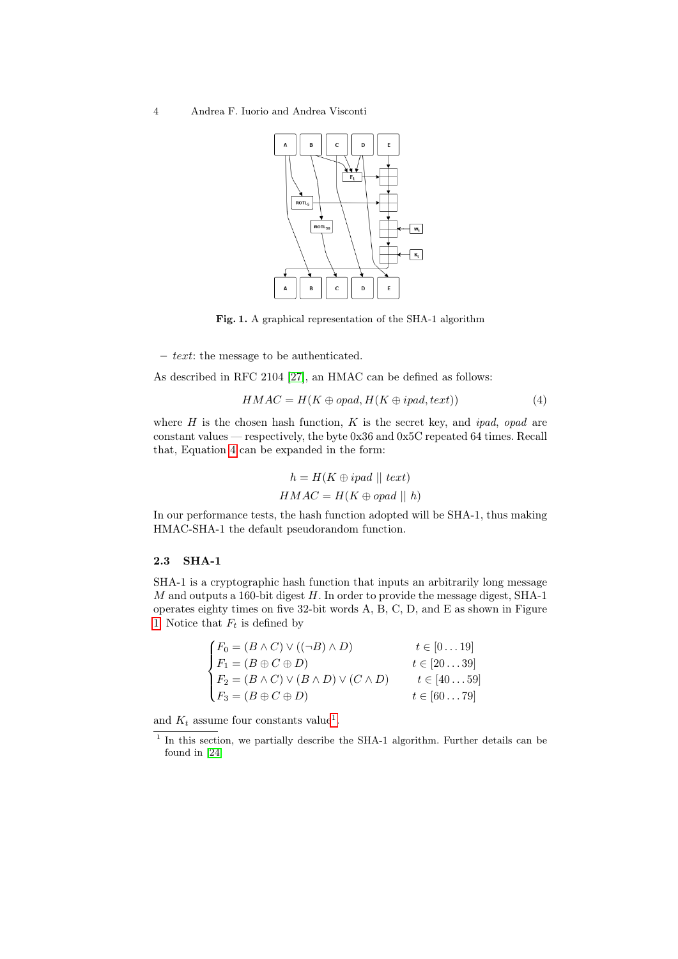

Fig. 1. A graphical representation of the SHA-1 algorithm

– text: the message to be authenticated.

As described in RFC 2104 [\[27\]](#page-12-18), an HMAC can be defined as follows:

<span id="page-3-1"></span>
$$
HMAC = H(K \oplus opad, H(K \oplus ipad, text))
$$
\n<sup>(4)</sup>

where  $H$  is the chosen hash function,  $K$  is the secret key, and ipad, opad are constant values — respectively, the byte 0x36 and 0x5C repeated 64 times. Recall that, Equation [4](#page-3-0) can be expanded in the form:

<span id="page-3-0"></span>
$$
h = H(K \oplus ipad \midmid text)
$$

$$
HMAC = H(K \oplus opad \midmid h)
$$

In our performance tests, the hash function adopted will be SHA-1, thus making HMAC-SHA-1 the default pseudorandom function.

#### 2.3 SHA-1

SHA-1 is a cryptographic hash function that inputs an arbitrarily long message  $M$  and outputs a 160-bit digest  $H$ . In order to provide the message digest, SHA-1 operates eighty times on five 32-bit words A, B, C, D, and E as shown in Figure [1.](#page-3-1) Notice that  $F_t$  is defined by

|                                                                                                          | $t\in[0\ldots 19]$    |
|----------------------------------------------------------------------------------------------------------|-----------------------|
| $\begin{cases}\nF_0 = (B \wedge C) \vee ((\neg B) \wedge D) \\ F_1 = (B \oplus C \oplus D)\n\end{cases}$ | $t \in [2039]$        |
| $\left\{ F_2 = (B \wedge C) \vee (B \wedge D) \vee (C \wedge D) \right\}$                                | $t \in [4059]$        |
| $F_3 = (B \oplus C \oplus D)$                                                                            | $t \in [60 \dots 79]$ |

and  $K_t$  assume four constants value<sup>[1](#page-3-2)</sup>.

<span id="page-3-2"></span><sup>&</sup>lt;sup>1</sup> In this section, we partially describe the SHA-1 algorithm. Further details can be found in [\[24\]](#page-12-15)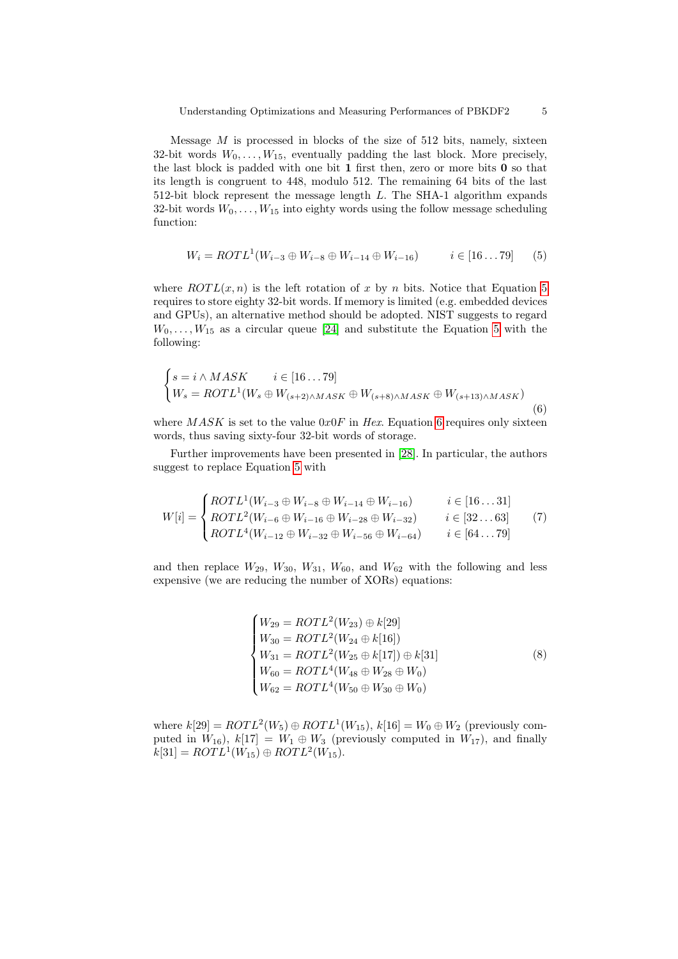Message  $M$  is processed in blocks of the size of 512 bits, namely, sixteen 32-bit words  $W_0, \ldots, W_{15}$ , eventually padding the last block. More precisely, the last block is padded with one bit  $1$  first then, zero or more bits  $0$  so that its length is congruent to 448, modulo 512. The remaining 64 bits of the last 512-bit block represent the message length L. The SHA-1 algorithm expands 32-bit words  $W_0, \ldots, W_{15}$  into eighty words using the follow message scheduling function:

<span id="page-4-0"></span>
$$
W_i = ROTL^1(W_{i-3} \oplus W_{i-8} \oplus W_{i-14} \oplus W_{i-16}) \qquad i \in [16...79] \tag{5}
$$

where  $ROTL(x, n)$  is the left rotation of x by n bits. Notice that Equation [5](#page-4-0) requires to store eighty 32-bit words. If memory is limited (e.g. embedded devices and GPUs), an alternative method should be adopted. NIST suggests to regard  $W_0, \ldots, W_{15}$  as a circular queue [\[24\]](#page-12-15) and substitute the Equation [5](#page-4-0) with the following:

<span id="page-4-1"></span>
$$
\begin{cases}\ns = i \wedge MASK & i \in [16...79] \\
W_s = ROTL^1(W_s \oplus W_{(s+2) \wedge MASK} \oplus W_{(s+8) \wedge MASK} \oplus W_{(s+13) \wedge MASK})\n\end{cases}
$$
\n(6)

where  $MASK$  is set to the value  $0x0F$  in Hex. Equation [6](#page-4-1) requires only sixteen words, thus saving sixty-four 32-bit words of storage.

Further improvements have been presented in [\[28\]](#page-12-19). In particular, the authors suggest to replace Equation [5](#page-4-0) with

<span id="page-4-2"></span>
$$
W[i] = \begin{cases} ROTL^{1}(W_{i-3} \oplus W_{i-8} \oplus W_{i-14} \oplus W_{i-16}) & i \in [16...31] \\ ROTL^{2}(W_{i-6} \oplus W_{i-16} \oplus W_{i-28} \oplus W_{i-32}) & i \in [32...63] \\ ROTL^{4}(W_{i-12} \oplus W_{i-32} \oplus W_{i-56} \oplus W_{i-64}) & i \in [64...79] \end{cases}
$$
(7)

<span id="page-4-3"></span>and then replace  $W_{29}$ ,  $W_{30}$ ,  $W_{31}$ ,  $W_{60}$ , and  $W_{62}$  with the following and less expensive (we are reducing the number of XORs) equations:

$$
\begin{cases}\nW_{29} = ROTL^2(W_{23}) \oplus k[29] \\
W_{30} = ROTL^2(W_{24} \oplus k[16]) \\
W_{31} = ROTL^2(W_{25} \oplus k[17]) \oplus k[31] \\
W_{60} = ROTL^4(W_{48} \oplus W_{28} \oplus W_0) \\
W_{62} = ROTL^4(W_{50} \oplus W_{30} \oplus W_0)\n\end{cases} (8)
$$

where  $k[29] = \text{ROTL}^2(W_5) \oplus \text{ROTL}^1(W_{15}), k[16] = W_0 \oplus W_2$  (previously computed in  $W_{16}$ ),  $k[17] = W_1 \oplus W_3$  (previously computed in  $W_{17}$ ), and finally  $k[31] = ROTL<sup>1</sup>(W<sub>15</sub>) \oplus ROTL<sup>2</sup>(W<sub>15</sub>).$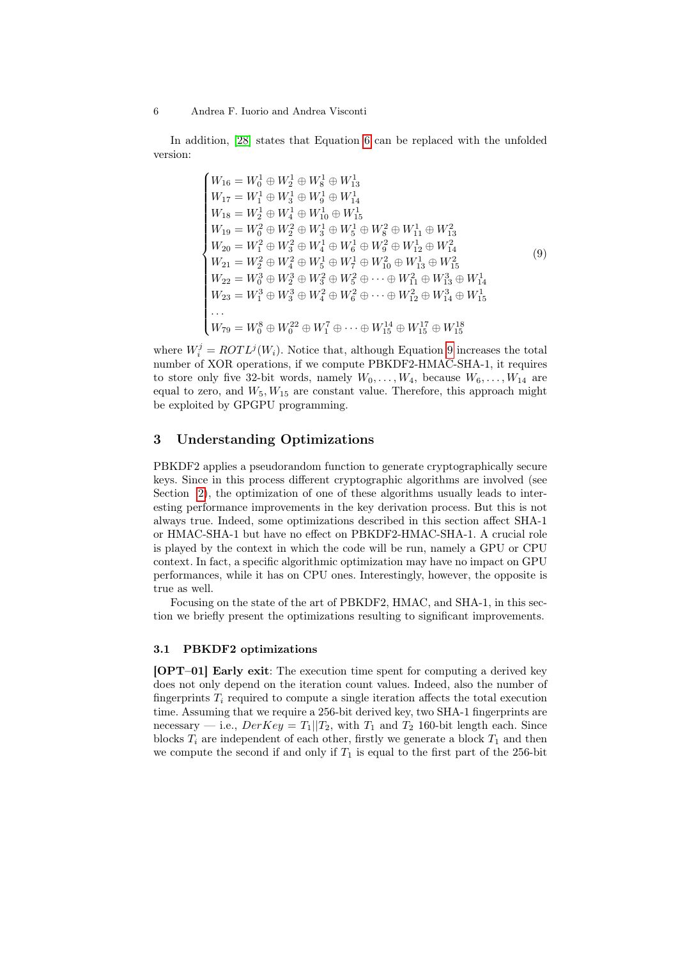$\overline{\phantom{a}}$ 

<span id="page-5-1"></span>In addition, [\[28\]](#page-12-19) states that Equation [6](#page-4-1) can be replaced with the unfolded version:

$$
\begin{cases}\nW_{16} = W_0^1 \oplus W_2^1 \oplus W_8^1 \oplus W_{13}^1 \\
W_{17} = W_1^1 \oplus W_3^1 \oplus W_9^1 \oplus W_{14}^1 \\
W_{18} = W_2^1 \oplus W_4^1 \oplus W_{10}^1 \oplus W_{15}^1 \\
W_{19} = W_0^2 \oplus W_2^2 \oplus W_3^1 \oplus W_5^1 \oplus W_8^2 \oplus W_{11}^1 \oplus W_{13}^2 \\
W_{20} = W_1^2 \oplus W_3^2 \oplus W_4^1 \oplus W_6^1 \oplus W_9^2 \oplus W_{12}^1 \oplus W_{14}^2 \\
W_{21} = W_2^2 \oplus W_4^2 \oplus W_5^1 \oplus W_7^1 \oplus W_{10}^2 \oplus W_{13}^1 \oplus W_{15}^2 \\
W_{22} = W_0^3 \oplus W_2^3 \oplus W_3^2 \oplus W_5^2 \oplus \cdots \oplus W_{11}^2 \oplus W_{13}^3 \oplus W_{14}^1 \\
W_{23} = W_1^3 \oplus W_3^3 \oplus W_4^2 \oplus W_6^2 \oplus \cdots \oplus W_{12}^2 \oplus W_{14}^3 \oplus W_{15}^1 \\
\cdots \\
W_{79} = W_0^8 \oplus W_0^{22} \oplus W_1^7 \oplus \cdots \oplus W_{15}^{14} \oplus W_{15}^{17} \oplus W_{15}^{18}\n\end{cases} (9)
$$

where  $W_i^j = \text{ROTL}^j(W_i)$ . Notice that, although Equation [9](#page-5-1) increases the total number of XOR operations, if we compute PBKDF2-HMAC-SHA-1, it requires to store only five 32-bit words, namely  $W_0, \ldots, W_4$ , because  $W_6, \ldots, W_{14}$  are equal to zero, and  $W_5, W_{15}$  are constant value. Therefore, this approach might be exploited by GPGPU programming.

# <span id="page-5-0"></span>3 Understanding Optimizations

PBKDF2 applies a pseudorandom function to generate cryptographically secure keys. Since in this process different cryptographic algorithms are involved (see Section [2\)](#page-1-0), the optimization of one of these algorithms usually leads to interesting performance improvements in the key derivation process. But this is not always true. Indeed, some optimizations described in this section affect SHA-1 or HMAC-SHA-1 but have no effect on PBKDF2-HMAC-SHA-1. A crucial role is played by the context in which the code will be run, namely a GPU or CPU context. In fact, a specific algorithmic optimization may have no impact on GPU performances, while it has on CPU ones. Interestingly, however, the opposite is true as well.

Focusing on the state of the art of PBKDF2, HMAC, and SHA-1, in this section we briefly present the optimizations resulting to significant improvements.

#### 3.1 PBKDF2 optimizations

[OPT–01] Early exit: The execution time spent for computing a derived key does not only depend on the iteration count values. Indeed, also the number of fingerprints  $T_i$  required to compute a single iteration affects the total execution time. Assuming that we require a 256-bit derived key, two SHA-1 fingerprints are necessary — i.e.,  $DerKey = T_1||T_2$ , with  $T_1$  and  $T_2$  160-bit length each. Since blocks  $T_i$  are independent of each other, firstly we generate a block  $T_1$  and then we compute the second if and only if  $T_1$  is equal to the first part of the 256-bit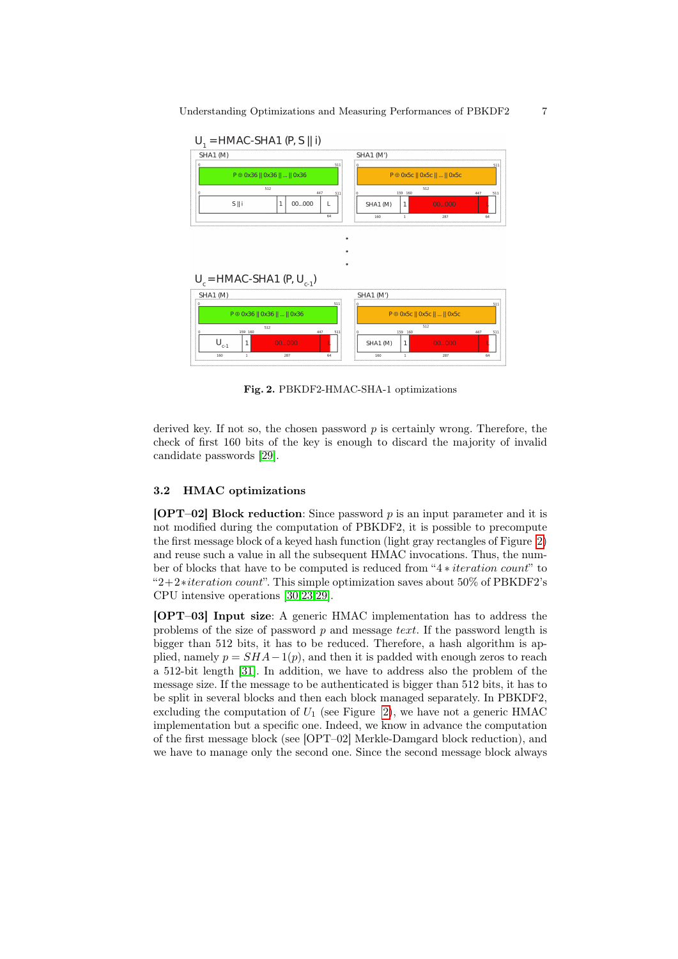

<span id="page-6-0"></span>Fig. 2. PBKDF2-HMAC-SHA-1 optimizations

derived key. If not so, the chosen password  $p$  is certainly wrong. Therefore, the check of first 160 bits of the key is enough to discard the majority of invalid candidate passwords [\[29\]](#page-13-0).

## 3.2 HMAC optimizations

[OPT–02] Block reduction: Since password  $p$  is an input parameter and it is not modified during the computation of PBKDF2, it is possible to precompute the first message block of a keyed hash function (light gray rectangles of Figure [2\)](#page-6-0) and reuse such a value in all the subsequent HMAC invocations. Thus, the number of blocks that have to be computed is reduced from "4 ∗ iteration count" to "2+2∗iteration count". This simple optimization saves about 50% of PBKDF2's CPU intensive operations [\[30,](#page-13-1)[23,](#page-12-14)[29\]](#page-13-0).

[OPT–03] Input size: A generic HMAC implementation has to address the problems of the size of password p and message text. If the password length is bigger than 512 bits, it has to be reduced. Therefore, a hash algorithm is applied, namely  $p = SHA-1(p)$ , and then it is padded with enough zeros to reach a 512-bit length [\[31\]](#page-13-2). In addition, we have to address also the problem of the message size. If the message to be authenticated is bigger than 512 bits, it has to be split in several blocks and then each block managed separately. In PBKDF2, excluding the computation of  $U_1$  (see Figure [2\)](#page-6-0), we have not a generic HMAC implementation but a specific one. Indeed, we know in advance the computation of the first message block (see [OPT–02] Merkle-Damgard block reduction), and we have to manage only the second one. Since the second message block always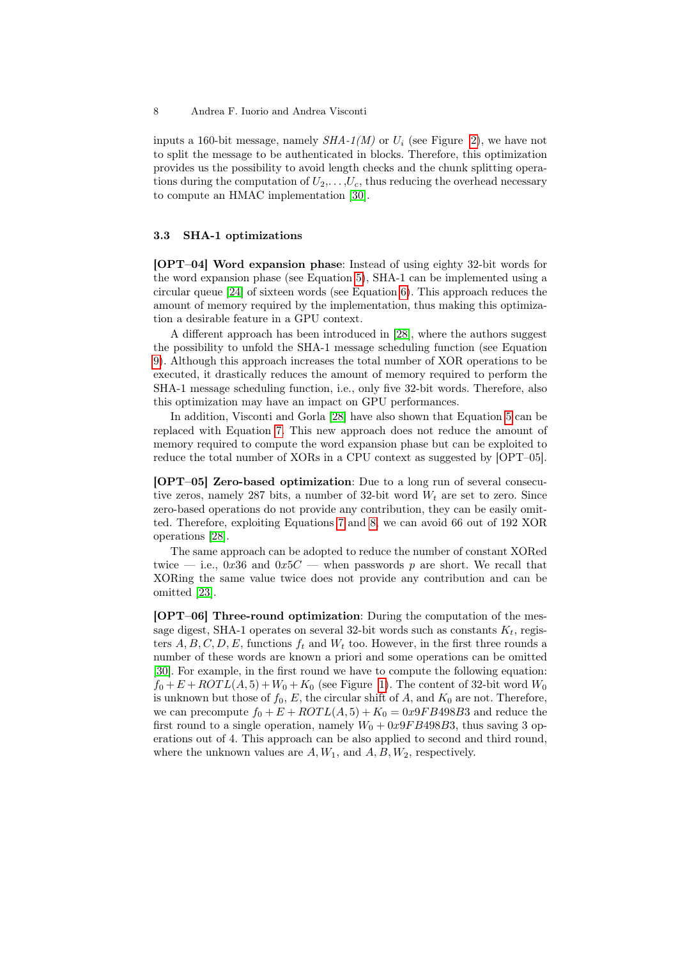inputs a 160-bit message, namely  $SHA-1(M)$  or  $U_i$  (see Figure [2\)](#page-6-0), we have not to split the message to be authenticated in blocks. Therefore, this optimization provides us the possibility to avoid length checks and the chunk splitting operations during the computation of  $U_2, \ldots, U_c$ , thus reducing the overhead necessary to compute an HMAC implementation [\[30\]](#page-13-1).

#### 3.3 SHA-1 optimizations

[OPT–04] Word expansion phase: Instead of using eighty 32-bit words for the word expansion phase (see Equation [5\)](#page-4-0), SHA-1 can be implemented using a circular queue [\[24\]](#page-12-15) of sixteen words (see Equation [6\)](#page-4-1). This approach reduces the amount of memory required by the implementation, thus making this optimization a desirable feature in a GPU context.

A different approach has been introduced in [\[28\]](#page-12-19), where the authors suggest the possibility to unfold the SHA-1 message scheduling function (see Equation [9\)](#page-5-1). Although this approach increases the total number of XOR operations to be executed, it drastically reduces the amount of memory required to perform the SHA-1 message scheduling function, i.e., only five 32-bit words. Therefore, also this optimization may have an impact on GPU performances.

In addition, Visconti and Gorla [\[28\]](#page-12-19) have also shown that Equation [5](#page-4-0) can be replaced with Equation [7.](#page-4-2) This new approach does not reduce the amount of memory required to compute the word expansion phase but can be exploited to reduce the total number of XORs in a CPU context as suggested by [OPT–05].

[OPT–05] Zero-based optimization: Due to a long run of several consecutive zeros, namely 287 bits, a number of 32-bit word  $W_t$  are set to zero. Since zero-based operations do not provide any contribution, they can be easily omitted. Therefore, exploiting Equations [7](#page-4-2) and [8,](#page-4-3) we can avoid 66 out of 192 XOR operations [\[28\]](#page-12-19).

The same approach can be adopted to reduce the number of constant XORed twice — i.e., 0x36 and 0x5C — when passwords p are short. We recall that XORing the same value twice does not provide any contribution and can be omitted [\[23\]](#page-12-14).

[OPT–06] Three-round optimization: During the computation of the message digest, SHA-1 operates on several 32-bit words such as constants  $K_t$ , registers  $A, B, C, D, E$ , functions  $f_t$  and  $W_t$  too. However, in the first three rounds a number of these words are known a priori and some operations can be omitted [\[30\]](#page-13-1). For example, in the first round we have to compute the following equation:  $f_0 + E + ROTL(A, 5) + W_0 + K_0$  (see Figure [1\)](#page-3-1). The content of 32-bit word  $W_0$ is unknown but those of  $f_0, E$ , the circular shift of A, and  $K_0$  are not. Therefore, we can precompute  $f_0 + E + ROTL(A, 5) + K_0 = 0x9FB498B3$  and reduce the first round to a single operation, namely  $W_0 + 0x9FB498B3$ , thus saving 3 operations out of 4. This approach can be also applied to second and third round, where the unknown values are  $A, W_1$ , and  $A, B, W_2$ , respectively.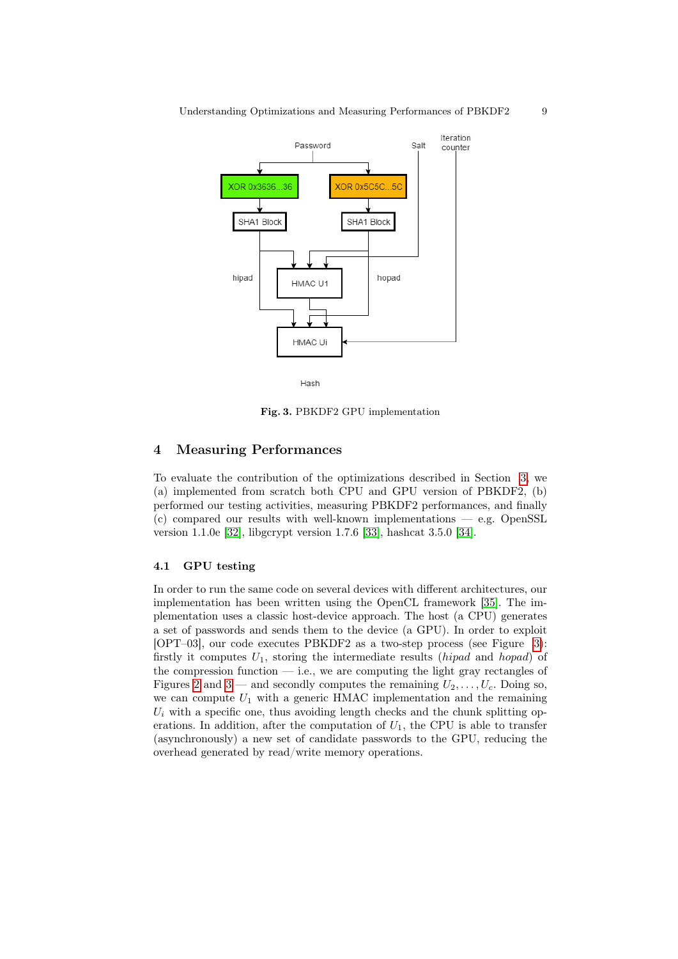

<span id="page-8-1"></span>Hash

Fig. 3. PBKDF2 GPU implementation

# <span id="page-8-0"></span>4 Measuring Performances

To evaluate the contribution of the optimizations described in Section [3,](#page-5-0) we (a) implemented from scratch both CPU and GPU version of PBKDF2, (b) performed our testing activities, measuring PBKDF2 performances, and finally  $(c)$  compared our results with well-known implementations  $-$  e.g. OpenSSL version 1.1.0e [\[32\]](#page-13-3), libgcrypt version 1.7.6 [\[33\]](#page-13-4), hashcat 3.5.0 [\[34\]](#page-13-5).

## <span id="page-8-2"></span>4.1 GPU testing

In order to run the same code on several devices with different architectures, our implementation has been written using the OpenCL framework [\[35\]](#page-13-6). The implementation uses a classic host-device approach. The host (a CPU) generates a set of passwords and sends them to the device (a GPU). In order to exploit [OPT–03], our code executes PBKDF2 as a two-step process (see Figure [3\)](#page-8-1): firstly it computes  $U_1$ , storing the intermediate results (hipad and hopad) of the compression function  $-$  i.e., we are computing the light gray rectangles of Figures [2](#page-6-0) and [3](#page-8-1) — and secondly computes the remaining  $U_2, \ldots, U_c$ . Doing so, we can compute  $U_1$  with a generic HMAC implementation and the remaining  $U_i$  with a specific one, thus avoiding length checks and the chunk splitting operations. In addition, after the computation of  $U_1$ , the CPU is able to transfer (asynchronously) a new set of candidate passwords to the GPU, reducing the overhead generated by read/write memory operations.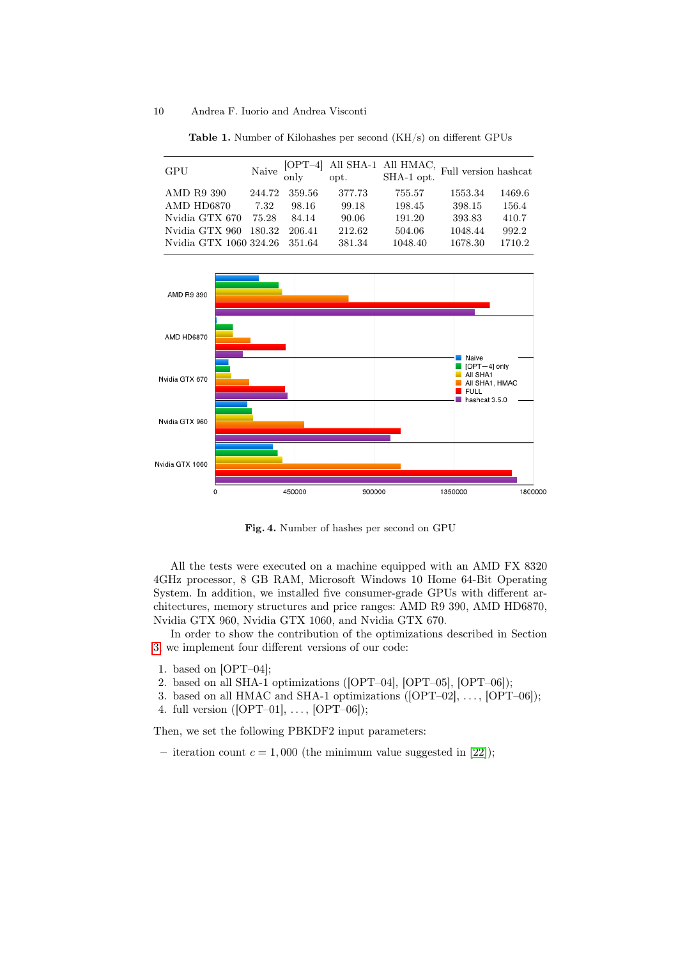<span id="page-9-0"></span>

| GPU                    |        |          |        |         |         |        |
|------------------------|--------|----------|--------|---------|---------|--------|
| AMD R9 390             | 244.72 | 359.56   | 377.73 | 755.57  | 1553.34 | 1469.6 |
| AMD HD6870             | 7.32   | 98.16    | 99.18  | 198.45  | 398.15  | 156.4  |
| Nvidia GTX 670         | 75.28  | 84.14    | 90.06  | 191.20  | 393.83  | 410.7  |
| Nvidia GTX 960 180.32  |        | 206.41   | 212.62 | 504.06  | 1048.44 | 992.2  |
| Nvidia GTX 1060 324.26 |        | - 351.64 | 381.34 | 1048.40 | 1678.30 | 1710.2 |

Table 1. Number of Kilohashes per second (KH/s) on different GPUs



<span id="page-9-1"></span>Fig. 4. Number of hashes per second on GPU

All the tests were executed on a machine equipped with an AMD FX 8320 4GHz processor, 8 GB RAM, Microsoft Windows 10 Home 64-Bit Operating System. In addition, we installed five consumer-grade GPUs with different architectures, memory structures and price ranges: AMD R9 390, AMD HD6870, Nvidia GTX 960, Nvidia GTX 1060, and Nvidia GTX 670.

In order to show the contribution of the optimizations described in Section [3,](#page-5-0) we implement four different versions of our code:

- 1. based on [OPT–04];
- 2. based on all SHA-1 optimizations ([OPT–04], [OPT–05], [OPT–06]);
- 3. based on all HMAC and SHA-1 optimizations  $([OPT-02], \ldots, [OPT-06])$ ;
- 4. full version  $([OPT-01], \ldots, [OPT-06])$ ;

Then, we set the following PBKDF2 input parameters:

– iteration count  $c = 1,000$  (the minimum value suggested in [\[22\]](#page-12-13));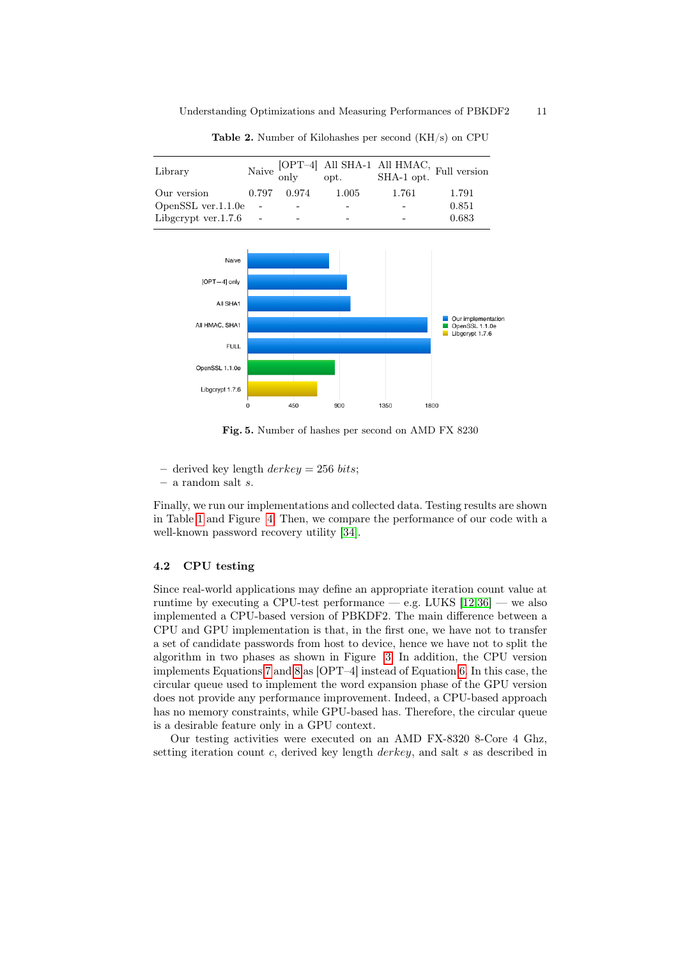<span id="page-10-0"></span>

| Library                  |             |       | $\begin{tabular}{ll} Naive & [OPT-4] & All SHA-1 & All HMAC, \cr only & opt. & SHA-1 opt. \end{tabular} \label{tab:1}$ |       |
|--------------------------|-------------|-------|------------------------------------------------------------------------------------------------------------------------|-------|
| Our version              | 0.797 0.974 | 1.005 | -1.761                                                                                                                 | 1.791 |
| OpenSSL ver.1.1.0e       |             |       |                                                                                                                        | 0.851 |
| Libgcrypt ver. $1.7.6$ - | -           |       |                                                                                                                        | 0.683 |

Table 2. Number of Kilohashes per second (KH/s) on CPU



Fig. 5. Number of hashes per second on AMD FX 8230

– derived key length  $derkey = 256 bits;$ 

– a random salt s.

Finally, we run our implementations and collected data. Testing results are shown in Table [1](#page-9-0) and Figure [4.](#page-9-1) Then, we compare the performance of our code with a well-known password recovery utility [\[34\]](#page-13-5).

## 4.2 CPU testing

Since real-world applications may define an appropriate iteration count value at runtime by executing a CPU-test performance — e.g. LUKS  $[12,36]$  $[12,36]$  — we also implemented a CPU-based version of PBKDF2. The main difference between a CPU and GPU implementation is that, in the first one, we have not to transfer a set of candidate passwords from host to device, hence we have not to split the algorithm in two phases as shown in Figure [3.](#page-8-1) In addition, the CPU version implements Equations [7](#page-4-2) and [8](#page-4-3) as [OPT–4] instead of Equation [6.](#page-4-1) In this case, the circular queue used to implement the word expansion phase of the GPU version does not provide any performance improvement. Indeed, a CPU-based approach has no memory constraints, while GPU-based has. Therefore, the circular queue is a desirable feature only in a GPU context.

Our testing activities were executed on an AMD FX-8320 8-Core 4 Ghz, setting iteration count c, derived key length  $derkey$ , and salt s as described in

<span id="page-10-1"></span>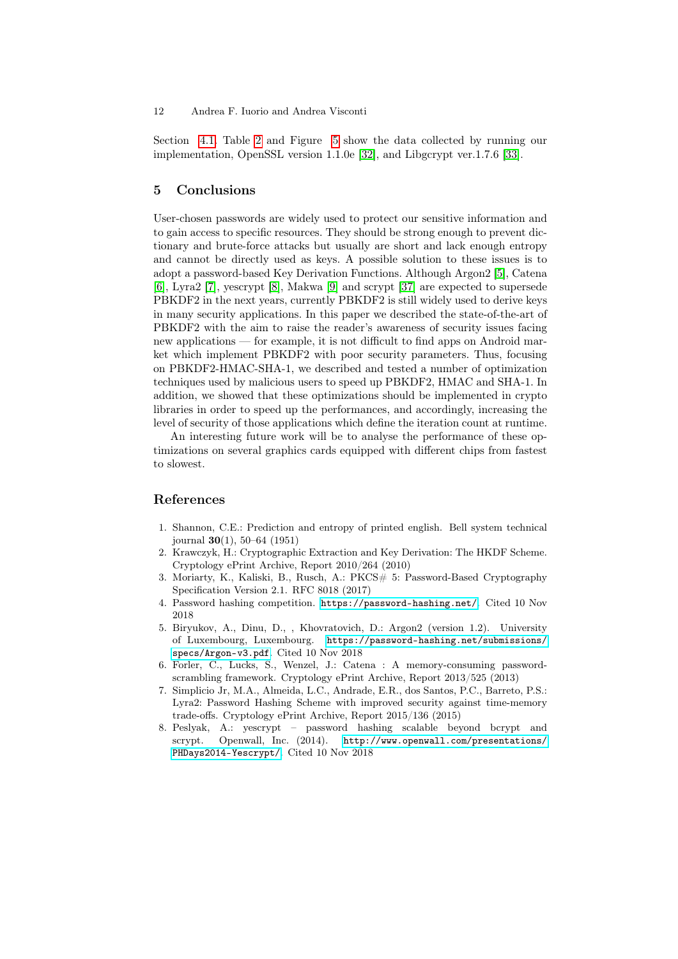Section [4.1.](#page-8-2) Table [2](#page-10-0) and Figure [5](#page-10-1) show the data collected by running our implementation, OpenSSL version 1.1.0e [\[32\]](#page-13-3), and Libgcrypt ver.1.7.6 [\[33\]](#page-13-4).

## <span id="page-11-8"></span>5 Conclusions

User-chosen passwords are widely used to protect our sensitive information and to gain access to specific resources. They should be strong enough to prevent dictionary and brute-force attacks but usually are short and lack enough entropy and cannot be directly used as keys. A possible solution to these issues is to adopt a password-based Key Derivation Functions. Although Argon2 [\[5\]](#page-11-4), Catena [\[6\]](#page-11-5), Lyra2 [\[7\]](#page-11-6), yescrypt [\[8\]](#page-11-7), Makwa [\[9\]](#page-12-0) and scrypt [\[37\]](#page-13-8) are expected to supersede PBKDF2 in the next years, currently PBKDF2 is still widely used to derive keys in many security applications. In this paper we described the state-of-the-art of PBKDF2 with the aim to raise the reader's awareness of security issues facing new applications — for example, it is not difficult to find apps on Android market which implement PBKDF2 with poor security parameters. Thus, focusing on PBKDF2-HMAC-SHA-1, we described and tested a number of optimization techniques used by malicious users to speed up PBKDF2, HMAC and SHA-1. In addition, we showed that these optimizations should be implemented in crypto libraries in order to speed up the performances, and accordingly, increasing the level of security of those applications which define the iteration count at runtime.

An interesting future work will be to analyse the performance of these optimizations on several graphics cards equipped with different chips from fastest to slowest.

## References

- <span id="page-11-0"></span>1. Shannon, C.E.: Prediction and entropy of printed english. Bell system technical journal 30(1), 50–64 (1951)
- <span id="page-11-1"></span>2. Krawczyk, H.: Cryptographic Extraction and Key Derivation: The HKDF Scheme. Cryptology ePrint Archive, Report 2010/264 (2010)
- <span id="page-11-2"></span>3. Moriarty, K., Kaliski, B., Rusch, A.: PKCS# 5: Password-Based Cryptography Specification Version 2.1. RFC 8018 (2017)
- <span id="page-11-3"></span>4. Password hashing competition. <https://password-hashing.net/>. Cited 10 Nov 2018
- <span id="page-11-4"></span>5. Biryukov, A., Dinu, D., , Khovratovich, D.: Argon2 (version 1.2). University of Luxembourg, Luxembourg. [https://password-hashing.net/submissions/](https://password-hashing.net/submissions/specs/Argon-v3.pdf) [specs/Argon-v3.pdf](https://password-hashing.net/submissions/specs/Argon-v3.pdf). Cited 10 Nov 2018
- <span id="page-11-5"></span>6. Forler, C., Lucks, S., Wenzel, J.: Catena : A memory-consuming passwordscrambling framework. Cryptology ePrint Archive, Report 2013/525 (2013)
- <span id="page-11-6"></span>7. Simplicio Jr, M.A., Almeida, L.C., Andrade, E.R., dos Santos, P.C., Barreto, P.S.: Lyra2: Password Hashing Scheme with improved security against time-memory trade-offs. Cryptology ePrint Archive, Report 2015/136 (2015)
- <span id="page-11-7"></span>8. Peslyak, A.: yescrypt – password hashing scalable beyond bcrypt and scrypt. Openwall, Inc. (2014). http://www.openwall.com/presentations/ [http://www.openwall.com/presentations/](http://www.openwall.com/presentations/PHDays2014-Yescrypt/) [PHDays2014-Yescrypt/](http://www.openwall.com/presentations/PHDays2014-Yescrypt/). Cited 10 Nov 2018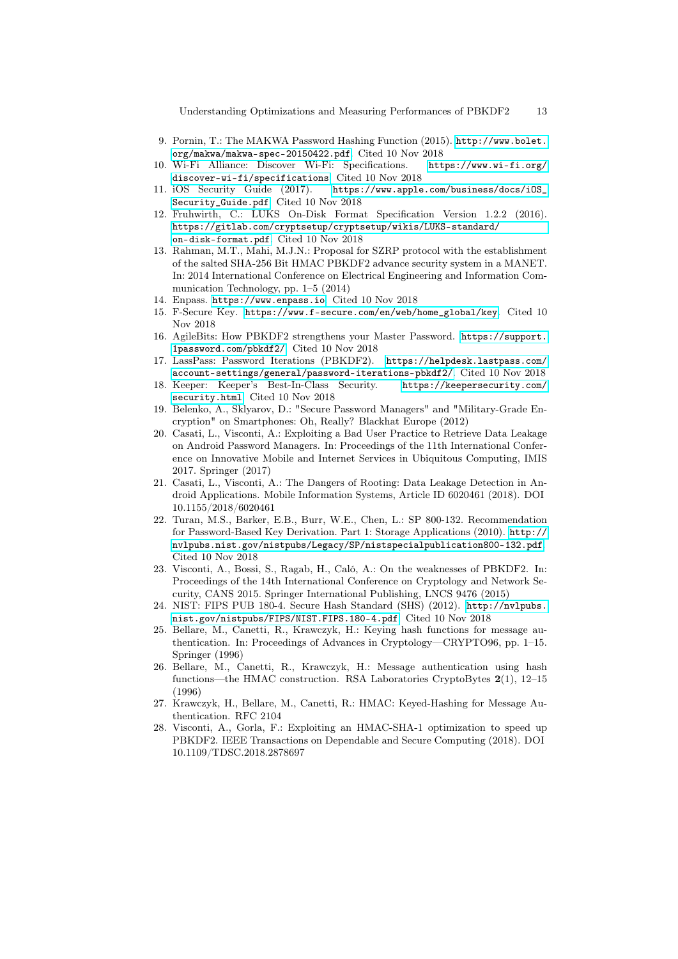- <span id="page-12-0"></span>9. Pornin, T.: The MAKWA Password Hashing Function (2015). [http://www.bolet.](http://www.bolet.org/makwa/makwa-spec-20150422.pdf) [org/makwa/makwa-spec-20150422.pdf](http://www.bolet.org/makwa/makwa-spec-20150422.pdf). Cited 10 Nov 2018
- <span id="page-12-1"></span>10. Wi-Fi Alliance: Discover Wi-Fi: Specifications. [https://www.wi-fi.org/](https://www.wi-fi.org/discover-wi-fi/specifications) [discover-wi-fi/specifications](https://www.wi-fi.org/discover-wi-fi/specifications). Cited 10 Nov 2018
- <span id="page-12-2"></span>11. iOS Security Guide (2017). [https://www.apple.com/business/docs/iOS\\_](https://www.apple.com/business/docs/iOS_Security_Guide.pdf) [Security\\_Guide.pdf](https://www.apple.com/business/docs/iOS_Security_Guide.pdf). Cited 10 Nov 2018
- <span id="page-12-3"></span>12. Fruhwirth, C.: LUKS On-Disk Format Specification Version 1.2.2 (2016). [https://gitlab.com/cryptsetup/cryptsetup/wikis/LUKS-standard/](https://gitlab.com/cryptsetup/cryptsetup/wikis/LUKS-standard/on-disk-format.pdf) [on-disk-format.pdf](https://gitlab.com/cryptsetup/cryptsetup/wikis/LUKS-standard/on-disk-format.pdf). Cited 10 Nov 2018
- <span id="page-12-4"></span>13. Rahman, M.T., Mahi, M.J.N.: Proposal for SZRP protocol with the establishment of the salted SHA-256 Bit HMAC PBKDF2 advance security system in a MANET. In: 2014 International Conference on Electrical Engineering and Information Communication Technology, pp. 1–5 (2014)
- <span id="page-12-5"></span>14. Enpass. <https://www.enpass.io>. Cited 10 Nov 2018
- <span id="page-12-6"></span>15. F-Secure Key. [https://www.f-secure.com/en/web/home\\_global/key](https://www.f-secure.com/en/web/home_global/key). Cited 10 Nov 2018
- <span id="page-12-7"></span>16. AgileBits: How PBKDF2 strengthens your Master Password. [https://support.](https://support.1password.com/pbkdf2/) [1password.com/pbkdf2/](https://support.1password.com/pbkdf2/). Cited 10 Nov 2018
- <span id="page-12-8"></span>17. LassPass: Password Iterations (PBKDF2). [https://helpdesk.lastpass.com/](https://helpdesk.lastpass.com/account-settings/general/password-iterations-pbkdf2/) [account-settings/general/password-iterations-pbkdf2/](https://helpdesk.lastpass.com/account-settings/general/password-iterations-pbkdf2/). Cited 10 Nov 2018
- <span id="page-12-9"></span>18. Keeper: Keeper's Best-In-Class Security. [https://keepersecurity.com/](https://keepersecurity.com/security.html) [security.html](https://keepersecurity.com/security.html). Cited 10 Nov 2018
- <span id="page-12-10"></span>19. Belenko, A., Sklyarov, D.: "Secure Password Managers" and "Military-Grade Encryption" on Smartphones: Oh, Really? Blackhat Europe (2012)
- <span id="page-12-11"></span>20. Casati, L., Visconti, A.: Exploiting a Bad User Practice to Retrieve Data Leakage on Android Password Managers. In: Proceedings of the 11th International Conference on Innovative Mobile and Internet Services in Ubiquitous Computing, IMIS 2017. Springer (2017)
- <span id="page-12-12"></span>21. Casati, L., Visconti, A.: The Dangers of Rooting: Data Leakage Detection in Android Applications. Mobile Information Systems, Article ID 6020461 (2018). DOI 10.1155/2018/6020461
- <span id="page-12-13"></span>22. Turan, M.S., Barker, E.B., Burr, W.E., Chen, L.: SP 800-132. Recommendation for Password-Based Key Derivation. Part 1: Storage Applications (2010). [http://](http://nvlpubs.nist.gov/nistpubs/Legacy/SP/nistspecialpublication800-132.pdf) [nvlpubs.nist.gov/nistpubs/Legacy/SP/nistspecialpublication800-132.pdf](http://nvlpubs.nist.gov/nistpubs/Legacy/SP/nistspecialpublication800-132.pdf). Cited 10 Nov 2018
- <span id="page-12-14"></span>23. Visconti, A., Bossi, S., Ragab, H., Caló, A.: On the weaknesses of PBKDF2. In: Proceedings of the 14th International Conference on Cryptology and Network Security, CANS 2015. Springer International Publishing, LNCS 9476 (2015)
- <span id="page-12-15"></span>24. NIST: FIPS PUB 180-4. Secure Hash Standard (SHS) (2012). [http://nvlpubs.](http://nvlpubs.nist.gov/nistpubs/FIPS/NIST.FIPS.180-4.pdf) [nist.gov/nistpubs/FIPS/NIST.FIPS.180-4.pdf](http://nvlpubs.nist.gov/nistpubs/FIPS/NIST.FIPS.180-4.pdf). Cited 10 Nov 2018
- <span id="page-12-16"></span>25. Bellare, M., Canetti, R., Krawczyk, H.: Keying hash functions for message authentication. In: Proceedings of Advances in Cryptology—CRYPTO96, pp. 1–15. Springer (1996)
- <span id="page-12-17"></span>26. Bellare, M., Canetti, R., Krawczyk, H.: Message authentication using hash functions—the HMAC construction. RSA Laboratories CryptoBytes 2(1), 12–15 (1996)
- <span id="page-12-18"></span>27. Krawczyk, H., Bellare, M., Canetti, R.: HMAC: Keyed-Hashing for Message Authentication. RFC 2104
- <span id="page-12-19"></span>28. Visconti, A., Gorla, F.: Exploiting an HMAC-SHA-1 optimization to speed up PBKDF2. IEEE Transactions on Dependable and Secure Computing (2018). DOI 10.1109/TDSC.2018.2878697